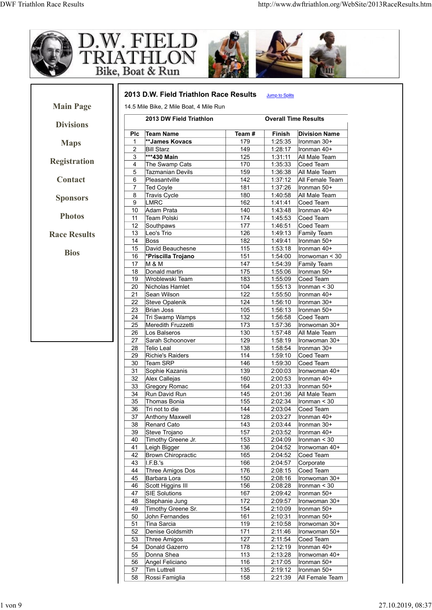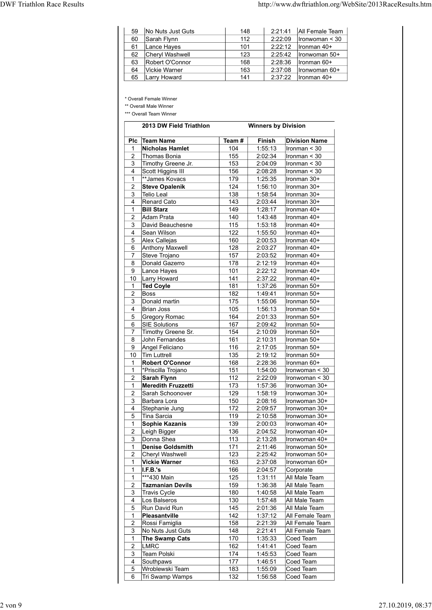| <b>DWF Triathlon Race Results</b> |    |                                  |            |                    | http://www.dwftriathlon.org/WebSite/2013RaceResults.htm |
|-----------------------------------|----|----------------------------------|------------|--------------------|---------------------------------------------------------|
|                                   | 59 | No Nuts Just Guts                | 148        | 2:21:41            | All Female Team                                         |
|                                   | 60 | Sarah Flynn                      | 112        | 2:22:09            | $l$ ronwoman < 30                                       |
|                                   | 61 | Lance Hayes                      | 101        | 2:22:12            | Ironman 40+                                             |
|                                   | 62 | Cheryl Washwell                  | 123        | 2:25:42            | Ironwoman 50+                                           |
|                                   | 63 | Robert O'Connor                  | 168        | 2:28:36            | Ironman 60+                                             |
|                                   | 64 | Vickie Warner<br>65 Larry Howard | 163<br>141 | 2:37:08<br>2:37:22 | Ironwoman 60+<br>Ironman 40+                            |

|                                |                                            |            |                            |                    | http://www.dwftriathlon.org/WebSite/2013RaceResults.htm |
|--------------------------------|--------------------------------------------|------------|----------------------------|--------------------|---------------------------------------------------------|
| 59                             | No Nuts Just Guts                          | 148        |                            | 2:21:41            | All Female Team                                         |
| 60                             | Sarah Flynn                                | 112        |                            | 2:22:09            | Ironwoman < 30                                          |
| 61                             | Lance Hayes                                | 101        |                            | 2:22:12            | Ironman 40+                                             |
| 62<br>63                       | Cheryl Washwell<br>Robert O'Connor         | 123<br>168 |                            | 2:25:42<br>2:28:36 | Ironwoman 50+<br>Ironman 60+                            |
| 64                             | Vickie Warner                              | 163        |                            | 2:37:08            | Ironwoman 60+                                           |
| 65                             | Larry Howard                               | 141        |                            | 2:37:22            | Ironman 40+                                             |
|                                | * Overall Female Winner                    |            |                            |                    |                                                         |
|                                | ** Overall Male Winner                     |            |                            |                    |                                                         |
|                                | *** Overall Team Winner                    |            |                            |                    |                                                         |
|                                | 2013 DW Field Triathlon                    |            | <b>Winners by Division</b> |                    |                                                         |
| <b>PIC</b>                     | <b>Team Name</b>                           | Team#      | Finish                     |                    | <b>Division Name</b>                                    |
| 1<br>2                         | <b>Nicholas Hamlet</b><br>Thomas Bonia     | 104<br>155 | 1:55:13<br>2:02:34         |                    | Ironman < 30<br>Ironman $<$ 30                          |
| 3                              | Timothy Greene Jr.                         | 153        | 2:04:09                    |                    | Ironman $<$ 30                                          |
| 4                              | Scott Higgins III                          | 156        | 2:08:28                    |                    | Ironman < 30                                            |
| $\mathbf{1}$                   | **James Kovacs                             | 179        | 1:25:35                    |                    | Ironman 30+                                             |
| 2<br>3                         | <b>Steve Opalenik</b><br><b>Telio Leal</b> | 124<br>138 | 1:56:10<br>1:58:54         |                    | Ironman 30+<br>Ironman 30+                              |
| $\overline{4}$                 | Renard Cato                                | 143        | 2:03:44                    |                    | Ironman 30+                                             |
| $\mathbf{1}$                   | <b>Bill Starz</b>                          | 149        | 1:28:17                    |                    | Ironman 40+                                             |
| 2<br>3                         | Adam Prata<br>David Beauchesne             | 140<br>115 | 1:43:48<br>1:53:18         |                    | Ironman 40+<br>Ironman 40+                              |
| 4                              | Sean Wilson                                | 122        | 1:55:50                    |                    | Ironman 40+                                             |
| 5                              | Alex Callejas                              | 160        | 2:00:53                    |                    | Ironman 40+                                             |
| 6<br>7                         | Anthony Maxwell<br>Steve Trojano           | 128<br>157 | 2:03:27<br>2:03:52         |                    | Ironman 40+<br>Ironman 40+                              |
| 8                              | Donald Gazerro                             | 178        | 2:12:19                    |                    | Ironman 40+                                             |
| 9                              | Lance Hayes                                | 101        | 2:22:12                    |                    | Ironman 40+                                             |
| 10                             | Larry Howard                               | 141        | 2:37:22                    |                    | Ironman 40+                                             |
| 1<br>$\overline{2}$            | <b>Ted Coyle</b><br>Boss                   | 181<br>182 | 1:37:26<br>1:49:41         |                    | Ironman 50+<br>Ironman 50+                              |
| 3                              | Donald martin                              | 175        | 1:55:06                    |                    | Ironman 50+                                             |
| 4                              | <b>Brian Joss</b>                          | 105        | 1:56:13<br>2:01:33         |                    | Ironman 50+                                             |
| 5<br>6                         | Gregory Romac<br><b>SIE Solutions</b>      | 164<br>167 | 2:09:42                    |                    | Ironman 50+<br>Ironman 50+                              |
| $\overline{7}$                 | Timothy Greene Sr.                         | 154        | 2:10:09                    |                    | Ironman 50+                                             |
| 8                              | John Fernandes                             | 161        | 2:10:31                    |                    | Ironman 50+                                             |
| 9<br>10 <sup>°</sup>           | Angel Feliciano<br>Tim Luttrell            | 116<br>135 | 2:17:05<br>2:19:12         |                    | Ironman 50+<br>Ironman 50+                              |
| $\mathbf{1}$                   | <b>Robert O'Connor</b>                     | 168        | 2:28:36                    |                    | Ironman 60+                                             |
| $\mathbf{1}$                   | *Priscilla Trojano                         | 151        | 1:54:00                    |                    | Ironwoman < 30                                          |
| $\overline{2}$<br>$\mathbf{1}$ | Sarah Flynn<br><b>Meredith Fruzzetti</b>   | 112<br>173 | 2:22:09<br>1:57:36         |                    | Ironwoman < 30<br>Ironwoman 30+                         |
| $\overline{c}$                 | Sarah Schoonover                           | 129        | 1:58:19                    |                    | Ironwoman 30+                                           |
| 3                              | Barbara Lora                               | 150        | 2:08:16                    |                    | Ironwoman 30+                                           |
| 4                              | Stephanie Jung                             | 172        | 2:09:57                    |                    | Ironwoman 30+                                           |
| 5<br>$\mathbf{1}$              | Tina Sarcia<br>Sophie Kazanis              | 119<br>139 | 2:10:58<br>2:00:03         |                    | Ironwoman 30+<br>Ironwoman 40+                          |
| $\overline{2}$                 | Leigh Bigger                               | 136        | 2:04:52                    |                    | Ironwoman 40+                                           |
| 3                              | Donna Shea                                 | 113        | 2:13:28                    |                    | Ironwoman 40+                                           |
| $\mathbf{1}$<br>$\overline{2}$ | <b>Denise Goldsmith</b><br>Cheryl Washwell | 171<br>123 | 2:11:46<br>2:25:42         |                    | Ironwoman 50+<br>Ironwoman 50+                          |
| $\mathbf{1}$                   | <b>Vickie Warner</b>                       | 163        | 2:37:08                    |                    | Ironwoman 60+                                           |
| $\mathbf{1}$                   | I.F.B.'s                                   | 166        | 2:04:57                    |                    | Corporate                                               |
| $\mathbf{1}$<br>$\overline{2}$ | ***430 Main<br><b>Tazmanian Devils</b>     | 125<br>159 | 1:31:11<br>1:36:38         |                    | All Male Team<br>All Male Team                          |
| 3                              | <b>Travis Cycle</b>                        | 180        | 1:40:58                    |                    | All Male Team                                           |
| 4                              | Los Balseros                               | 130        | 1:57:48                    |                    | All Male Team                                           |
| 5<br>$\mathbf{1}$              | Run David Run                              | 145        | 2:01:36<br>1:37:12         |                    | All Male Team<br>All Female Team                        |
| $\overline{2}$                 | Pleasantville<br>Rossi Famiglia            | 142<br>158 | 2:21:39                    |                    | All Female Team                                         |
| $\mathfrak{S}$                 | No Nuts Just Guts                          | 148        | 2:21:41                    |                    | All Female Team                                         |
| $\mathbf{1}$                   | <b>The Swamp Cats</b>                      | 170        | 1:35:33                    |                    | Coed Team                                               |
| $\overline{c}$<br>3            | LMRC<br>Team Polski                        | 162<br>174 | 1:41:41<br>1:45:53         |                    | Coed Team<br>Coed Team                                  |
| $\overline{4}$                 | Southpaws                                  | 177        | 1:46:51                    |                    | Coed Team                                               |
| 5                              | Wroblewski Team                            | 183        | 1:55:09                    |                    | Coed Team                                               |
| 6                              | Tri Swamp Wamps                            | 132        | 1:56:58                    |                    | Coed Team                                               |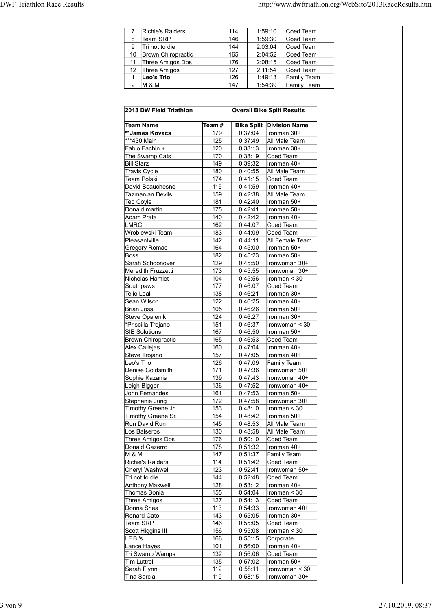| <b>DWF Triathlon Race Results</b>             |                              |                    | http://www.dwftriathlon.org/WebSite/2013RaceResults.htm |  |
|-----------------------------------------------|------------------------------|--------------------|---------------------------------------------------------|--|
| Richie's Raiders<br>$7^{\circ}$               |                              | $114$              | 1:59:10<br>Coed Team                                    |  |
| Team SRP<br>8                                 |                              | 146                | 1:59:30<br>Coed Team                                    |  |
| Tri not to die<br>9                           |                              | 144                | 2:03:04<br>Coed Team                                    |  |
| 10 Brown Chiropractic                         |                              | 165                | 2:04:52<br>Coed Team                                    |  |
| 11 Three Amigos Dos                           |                              | 176<br>127         | 2:08:15<br>Coed Team<br>2:11:54                         |  |
| 12 Three Amigos<br>Leo's Trio<br>$\mathbf{1}$ |                              | 126                | Coed Team<br>1:49:13<br>Family Team                     |  |
| 2 $M$ & M                                     |                              | 147                | 1:54:39<br>Family Team                                  |  |
| 2013 DW Field Triathlon                       |                              |                    | <b>Overall Bike Split Results</b>                       |  |
|                                               |                              |                    |                                                         |  |
| <b>Team Name</b>                              | $\overline{\mathsf{Team}}$ # |                    | <b>Bike Split Division Name</b>                         |  |
| **James Kovacs                                | 179                          | 0:37:04            | Ironman 30+                                             |  |
| ***430 Main                                   | 125                          | 0:37:49            | All Male Team                                           |  |
| Fabio Fachin +                                | 120                          | 0:38:13            | Ironman 30+                                             |  |
| The Swamp Cats<br><b>Bill Starz</b>           | 170<br>149                   | 0:38:19<br>0:39:32 | Coed Team<br>Ironman 40+                                |  |

|                         |                                               |            |                    |                        | Coed Team                         |
|-------------------------|-----------------------------------------------|------------|--------------------|------------------------|-----------------------------------|
| 7<br>8                  | Richie's Raiders<br><b>Team SRP</b>           |            | 114<br>146         | 1:59:10<br>1:59:30     | Coed Team                         |
| 9                       | Tri not to die                                |            | 144                | 2:03:04                | Coed Team                         |
| 10<br>11                | <b>Brown Chiropractic</b><br>Three Amigos Dos |            | 165<br>176         | 2:04:52<br>2:08:15     | Coed Team<br>Coed Team            |
| 12                      | Three Amigos                                  |            | 127                | 2:11:54                | Coed Team                         |
| 1<br>$\overline{2}$     | Leo's Trio<br>M & M                           |            | 126<br>147         | 1:49:13<br>1:54:39     | Family Team<br>Family Team        |
|                         |                                               |            |                    |                        |                                   |
|                         | 2013 DW Field Triathlon                       |            |                    |                        | <b>Overall Bike Split Results</b> |
|                         | Team Name                                     | Team #     |                    |                        | <b>Bike Split Division Name</b>   |
|                         | **James Kovacs                                | 179        | 0:37:04            |                        | ∣Ironman 30+                      |
| ***430 Main             | Fabio Fachin +                                | 125<br>120 | 0:37:49<br>0:38:13 |                        | All Male Team<br>Ironman 30+      |
|                         | The Swamp Cats                                | 170        | 0:38:19            | Coed Team              |                                   |
| <b>Bill Starz</b>       |                                               | 149        | 0:39:32            |                        | ∣Ironman 40+                      |
|                         | <b>Travis Cycle</b><br>Team Polski            | 180<br>174 | 0:40:55<br>0:41:15 | Coed Team              | All Male Team                     |
|                         | David Beauchesne                              | 115        | 0:41:59            |                        | Ironman 40+                       |
|                         | Tazmanian Devils                              | 159        | 0:42:38            |                        | All Male Team                     |
| <b>Ted Coyle</b>        | Donald martin                                 | 181<br>175 | 0:42:40<br>0:42:41 |                        | Ironman 50+<br>Ironman 50+        |
| Adam Prata              |                                               | 140        | 0:42:42            |                        | Ironman 40+                       |
| <b>LMRC</b>             | Wroblewski Team                               | 162<br>183 | 0:44:07<br>0:44:09 | Coed Team<br>Coed Team |                                   |
|                         | Pleasantville                                 | 142        | 0:44:11            |                        | All Female Team                   |
|                         | Gregory Romac                                 | 164        | 0:45:00            |                        | Ironman 50+                       |
| Boss                    | Sarah Schoonover                              | 182<br>129 | 0:45:23<br>0:45:50 |                        | Ironman 50+<br>Ironwoman 30+      |
|                         | Meredith Fruzzetti                            | 173        | 0:45:55            |                        | Ironwoman 30+                     |
|                         | Nicholas Hamlet                               | 104<br>177 | 0:45:56            |                        | Ironman < 30                      |
| Southpaws<br>Telio Leal |                                               | 138        | 0:46:07<br>0:46:21 | Coed Team              | Ironman 30+                       |
|                         | Sean Wilson                                   | 122        | 0:46:25            |                        | Ironman 40+                       |
| <b>Brian Joss</b>       | Steve Opalenik                                | 105<br>124 | 0:46:26<br>0:46:27 |                        | Ironman 50+<br>Ironman 30+        |
|                         | *Priscilla Trojano                            | 151        | 0:46:37            |                        | Ironwoman < 30                    |
|                         | <b>SIE Solutions</b>                          | 167        | 0:46:50            |                        | Ironman 50+                       |
|                         | <b>Brown Chiropractic</b><br>Alex Callejas    | 165<br>160 | 0:46:53<br>0:47:04 | Coed Team              | Ironman 40+                       |
|                         | Steve Trojano                                 | 157        | 0:47:05            |                        | Ironman 40+                       |
| Leo's Trio              | Denise Goldsmith                              | 126<br>171 | 0:47:09<br>0:47:36 |                        | Family Team<br>Ironwoman 50+      |
|                         | Sophie Kazanis                                | 139        | 0:47:43            |                        | Ironwoman 40+                     |
|                         | Leigh Bigger                                  | 136        | 0:47:52            |                        | Ironwoman 40+                     |
|                         | John Fernandes<br>Stephanie Jung              | 161<br>172 | 0:47:53<br>0:47:58 |                        | Ironman 50+<br>Ironwoman 30+      |
|                         | Timothy Greene Jr.                            | 153        | 0:48:10            |                        | Ironman < 30                      |
|                         | Timothy Greene Sr.                            | 154        | 0:48:42            |                        | Ironman 50+                       |
|                         | Run David Run<br>Los Balseros                 | 145<br>130 | 0:48:53<br>0:48:58 |                        | All Male Team<br>All Male Team    |
|                         | Three Amigos Dos                              | 176        | 0:50:10            | Coed Team              |                                   |
| M & M                   | Donald Gazerro                                | 178<br>147 | 0:51:32<br>0:51:37 |                        | Ironman 40+                       |
|                         | Richie's Raiders                              | 114        | 0:51:42            | Coed Team              | Family Team                       |
|                         | <b>Cheryl Washwell</b>                        | 123        | 0:52:41            |                        | Ironwoman 50+                     |
|                         | Tri not to die<br><b>Anthony Maxwell</b>      | 144<br>128 | 0:52:48<br>0:53:12 | Coed Team              | Ironman 40+                       |
|                         | Thomas Bonia                                  | 155        | 0:54:04            |                        | Ironman < 30                      |
|                         | Three Amigos                                  | 127        | 0:54:13            | Coed Team              |                                   |
|                         | Donna Shea<br><b>Renard Cato</b>              | 113<br>143 | 0:54:33<br>0:55:05 |                        | Ironwoman 40+<br>Ironman 30+      |
| <b>Team SRP</b>         |                                               | 146        | 0:55:05            | Coed Team              |                                   |
|                         | Scott Higgins III                             | 156        | 0:55:08            |                        | Ironman < 30                      |
| I.F.B.'s                | Lance Hayes                                   | 166<br>101 | 0:55:15<br>0:56:00 | Corporate              | Ironman 40+                       |
|                         | Tri Swamp Wamps                               | 132        | 0:56:06            | Coed Team              |                                   |
| <b>Tim Luttrell</b>     |                                               | 135        | 0:57:02            |                        | Ironman 50+                       |
|                         | Sarah Flynn<br>Tina Sarcia                    | 112<br>119 | 0:58:11<br>0:58:15 | Ironwoman 30+          | Ironwoman < 30                    |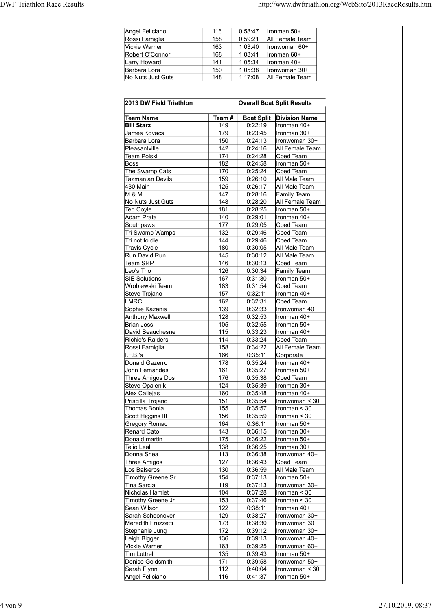| <b>DWF Triathlon Race Results</b> |                                 |            | http://www.dwftriathlon.org/WebSite/2013RaceResults.htm |  |
|-----------------------------------|---------------------------------|------------|---------------------------------------------------------|--|
|                                   |                                 |            |                                                         |  |
|                                   |                                 |            |                                                         |  |
|                                   | Angel Feliciano                 | 116        | 0:58:47<br>Ironman 50+                                  |  |
|                                   | Rossi Famiglia                  | 158        | 0:59:21<br>All Female Team                              |  |
|                                   | Vickie Warner                   | 163        | 1:03:40<br>Ironwoman 60+                                |  |
|                                   | Robert O'Connor<br>Larry Howard | 168<br>141 | 1:03:41<br>Ironman 60+<br>1:05:34<br>Ironman 40+        |  |
|                                   | Barbara Lora                    | 150        | 1:05:38<br>Ironwoman 30+                                |  |
|                                   | No Nuts Just Guts               | 148        | 1:17:08<br>All Female Team                              |  |
|                                   |                                 |            |                                                         |  |
|                                   |                                 |            |                                                         |  |
|                                   | 2013 DW Field Triathlon         |            | <b>Overall Boat Split Results</b>                       |  |
|                                   | <b>Team Name</b>                | Team $#$   | <b>Boat Split Division Name</b>                         |  |

| Angel Feliciano                           | 116        | 0:58:47            | Ironman 50+                       |
|-------------------------------------------|------------|--------------------|-----------------------------------|
| Rossi Famiglia                            | 158        | 0:59:21            | All Female Team                   |
| Vickie Warner                             | 163        | 1:03:40            | Ironwoman 60+                     |
| Robert O'Connor<br><b>Larry Howard</b>    | 168<br>141 | 1:03:41<br>1:05:34 | Ironman 60+<br>Ironman 40+        |
| Barbara Lora                              | 150        | 1:05:38            | Ironwoman 30+                     |
| No Nuts Just Guts                         | 148        | 1:17:08            | All Female Team                   |
|                                           |            |                    |                                   |
|                                           |            |                    |                                   |
| 2013 DW Field Triathlon                   |            |                    | <b>Overall Boat Split Results</b> |
| <b>Team Name</b>                          | Team#      | <b>Boat Split</b>  | <b>Division Name</b>              |
| <b>Bill Starz</b>                         | 149        | 0:22:19            | Ironman 40+                       |
| James Kovacs                              | 179        | 0:23:45            | Ironman 30+                       |
| Barbara Lora                              | 150        | 0:24:13            | Ironwoman 30+                     |
| Pleasantville<br><b>Team Polski</b>       | 142<br>174 | 0:24:16<br>0:24:28 | All Female Team<br>Coed Team      |
| Boss                                      | 182        | 0:24:58            | Ironman 50+                       |
| The Swamp Cats                            | 170        | 0:25:24            | Coed Team                         |
| Tazmanian Devils                          | 159        | 0:26:10            | All Male Team                     |
| 430 Main                                  | 125        | 0:26:17            | All Male Team                     |
| M & M<br>No Nuts Just Guts                | 147<br>148 | 0:28:16<br>0:28:20 | Family Team<br>All Female Team    |
| Ted Coyle                                 | 181        | 0:28:25            | Ironman 50+                       |
| Adam Prata                                | 140        | 0:29:01            | Ironman 40+                       |
| Southpaws                                 | 177        | 0:29:05            | Coed Team                         |
| Tri Swamp Wamps<br>Tri not to die         | 132<br>144 | 0:29:46<br>0:29:46 | Coed Team<br>Coed Team            |
| <b>Travis Cycle</b>                       | 180        | 0:30:05            | All Male Team                     |
| Run David Run                             | 145        | 0:30:12            | All Male Team                     |
| <b>Team SRP</b>                           | 146        | 0:30:13            | Coed Team                         |
| Leo's Trio                                | 126        | 0:30:34            | Family Team                       |
| <b>SIE Solutions</b><br>Wroblewski Team   | 167<br>183 | 0:31:30<br>0:31:54 | Ironman 50+<br>Coed Team          |
| Steve Trojano                             | 157        | 0:32:11            | Ironman 40+                       |
| <b>LMRC</b>                               | 162        | 0:32:31            | Coed Team                         |
| Sophie Kazanis                            | 139        | 0:32:33            | Ironwoman 40+                     |
| Anthony Maxwell                           | 128        | 0:32:53            | Ironman 40+                       |
| <b>Brian Joss</b><br>David Beauchesne     | 105        | 0:32:55            | Ironman 50+<br>Ironman 40+        |
| <b>Richie's Raiders</b>                   | 115<br>114 | 0:33:23<br>0:33:24 | Coed Team                         |
| Rossi Famiglia                            | 158        | 0:34:22            | All Female Team                   |
| I.F.B.'s                                  | 166        | 0:35:11            | Corporate                         |
| Donald Gazerro                            | 178        | 0:35:24            | Ironman 40+                       |
| John Fernandes                            | 161<br>176 | 0:35:27<br>0:35:38 | Ironman 50+<br>Coed Team          |
| Three Amigos Dos<br><b>Steve Opalenik</b> | 124        | 0:35:39            | Ironman 30+                       |
| Alex Callejas                             | 160        | 0:35:48            | Ironman 40+                       |
| Priscilla Trojano                         | 151        | 0:35:54            | Ironwoman < 30                    |
| Thomas Bonia                              | 155        | 0:35:57            | Ironman < 30                      |
| Scott Higgins III                         | 156<br>164 | 0:35:59<br>0:36:11 | Ironman < 30<br>Ironman 50+       |
| Gregory Romac<br><b>Renard Cato</b>       | 143        | 0:36:15            | Ironman 30+                       |
| Donald martin                             | 175        | 0:36:22            | Ironman 50+                       |
| <b>Telio Leal</b>                         | 138        | 0:36:25            | Ironman 30+                       |
| Donna Shea                                | 113        | 0:36:38            | Ironwoman 40+                     |
| <b>Three Amigos</b><br>Los Balseros       | 127<br>130 | 0:36:43<br>0:36:59 | Coed Team<br>All Male Team        |
| Timothy Greene Sr.                        | 154        | 0:37:13            | Ironman 50+                       |
| <b>Tina Sarcia</b>                        | 119        | 0:37:13            | Ironwoman 30+                     |
| Nicholas Hamlet                           | 104        | 0:37:28            | Ironman < 30                      |
| Timothy Greene Jr.                        | 153        | 0:37:46            | Ironman < 30                      |
| Sean Wilson<br>Sarah Schoonover           | 122<br>129 | 0:38:11<br>0:38:27 | Ironman 40+<br>Ironwoman 30+      |
| Meredith Fruzzetti                        | 173        | 0:38:30            | Ironwoman 30+                     |
| Stephanie Jung                            | 172        | 0:39:12            | Ironwoman 30+                     |
| Leigh Bigger                              | 136        | 0:39:13            | Ironwoman 40+                     |
| <b>Vickie Warner</b>                      | 163        | 0:39:25            | Ironwoman 60+                     |
| <b>Tim Luttrell</b><br>Denise Goldsmith   | 135<br>171 | 0:39:43            | Ironman 50+<br>Ironwoman 50+      |
| Sarah Flynn                               | 112        | 0:39:58<br>0:40:04 | Ironwoman < 30                    |
| Angel Feliciano                           | 116        | 0:41:37            | Ironman 50+                       |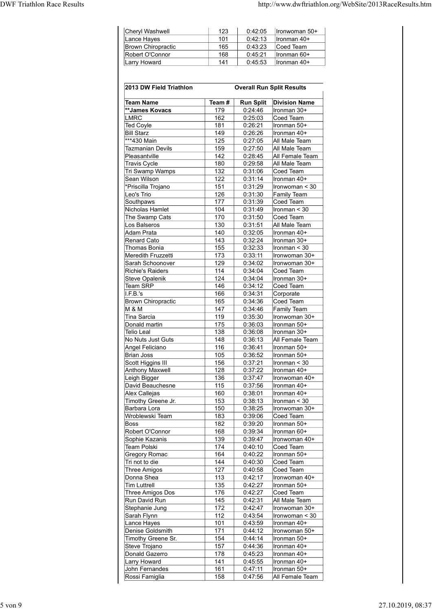|                                   |                                                     |                    | http://www.dwftriathlon.org/WebSite/2013RaceResults.htm |
|-----------------------------------|-----------------------------------------------------|--------------------|---------------------------------------------------------|
|                                   |                                                     |                    |                                                         |
| <b>Cheryl Washwell</b>            | 123<br>101                                          | 0:42:05<br>0:42:13 | Ironwoman 50+<br>Ironman 40+                            |
| Lance Hayes                       | 165                                                 | 0:43:23            | Coed Team                                               |
| <b>DWF Triathlon Race Results</b> | <b>Brown Chiropractic</b><br>Robert O'Connor<br>168 | 0:45:21            | Ironman 60+                                             |
| <b>Larry Howard</b>               | 141                                                 | 0:45:53            | Ironman 40+                                             |
|                                   | 2013 DW Field Triathlon                             |                    | <b>Overall Run Split Results</b>                        |
| Team Name                         | Team # $\vert$                                      |                    | <b>Run Split</b> Division Name                          |

|                                               |            |                    | http://www.dwftriathlon.org/WebSite/2013RaceResults.htm |
|-----------------------------------------------|------------|--------------------|---------------------------------------------------------|
|                                               |            |                    |                                                         |
|                                               |            |                    |                                                         |
| Cheryl Washwell<br>Lance Hayes                | 123<br>101 | 0:42:05<br>0:42:13 | Ironwoman 50+<br>Ironman 40+                            |
| <b>Brown Chiropractic</b>                     | 165        | 0:43:23            | Coed Team                                               |
| Robert O'Connor                               | 168        | 0:45:21            | Ironman 60+                                             |
| <b>Larry Howard</b>                           | 141        | 0:45:53            | Ironman 40+                                             |
|                                               |            |                    |                                                         |
| 2013 DW Field Triathlon                       |            |                    | <b>Overall Run Split Results</b>                        |
| <b>Team Name</b>                              | Team#      | <b>Run Split</b>   | <b>Division Name</b>                                    |
| **James Kovacs                                | 179        | 0:24:46            | Ironman 30+                                             |
| <b>LMRC</b>                                   | 162        | 0:25:03            | Coed Team                                               |
| <b>Ted Coyle</b>                              | 181        | 0:26:21            | Ironman 50+                                             |
| <b>Bill Starz</b><br>***430 Main              | 149<br>125 | 0:26:26<br>0:27:05 | Ironman 40+<br>All Male Team                            |
| <b>Tazmanian Devils</b>                       | 159        | 0:27:50            | All Male Team                                           |
| Pleasantville                                 | 142        | 0:28:45            | All Female Team                                         |
| <b>Travis Cycle</b><br>Tri Swamp Wamps        | 180<br>132 | 0:29:58<br>0:31:06 | All Male Team<br>Coed Team                              |
| Sean Wilson                                   | 122        | 0:31:14            | Ironman 40+                                             |
| *Priscilla Trojano                            | 151        | 0:31:29            | Ironwoman < 30                                          |
| Leo's Trio                                    | 126        | 0:31:30            | Family Team                                             |
| Southpaws<br>Nicholas Hamlet                  | 177<br>104 | 0:31:39<br>0:31:49 | Coed Team<br>Ironman < 30                               |
| The Swamp Cats                                | 170        | 0:31:50            | Coed Team                                               |
| Los Balseros                                  | 130        | 0:31:51            | All Male Team                                           |
| Adam Prata<br><b>Renard Cato</b>              | 140<br>143 | 0:32:05<br>0:32:24 | Ironman 40+<br>Ironman 30+                              |
| <b>Thomas Bonia</b>                           | 155        | 0:32:33            | Ironman < 30                                            |
| Meredith Fruzzetti                            | 173        | 0:33:11            | Ironwoman 30+                                           |
| Sarah Schoonover<br><b>Richie's Raiders</b>   | 129<br>114 | 0:34:02<br>0:34:04 | Ironwoman 30+<br>Coed Team                              |
| <b>Steve Opalenik</b>                         | 124        | 0:34:04            | Ironman 30+                                             |
| Team SRP                                      | 146        | 0:34:12            | Coed Team                                               |
| I.F.B.'s                                      | 166        | 0:34:31            | Corporate                                               |
| <b>Brown Chiropractic</b><br><b>M &amp; M</b> | 165<br>147 | 0:34:36<br>0:34:46 | Coed Team<br>Family Team                                |
| Tina Sarcia                                   | 119        | 0:35:30            | Ironwoman 30+                                           |
| Donald martin                                 | 175        | 0:36:03            | Ironman 50+                                             |
| <b>Telio Leal</b><br>No Nuts Just Guts        | 138<br>148 | 0:36:08<br>0:36:13 | Ironman 30+<br>All Female Team                          |
| Angel Feliciano                               | 116        | 0:36:41            | Ironman 50+                                             |
| <b>Brian Joss</b>                             | 105        | 0:36:52            | Ironman 50+                                             |
| Scott Higgins III                             | 156        | 0:37:21            | Ironman < 30                                            |
| <b>Anthony Maxwell</b><br>Leigh Bigger        | 128<br>136 | 0:37:22<br>0:37:47 | Ironman 40+<br>Ironwoman 40+                            |
| David Beauchesne                              | 115        | 0:37:56            | Ironman 40+                                             |
| Alex Callejas                                 | 160        | 0:38:01            | Ironman 40+                                             |
| Timothy Greene Jr.<br>Barbara Lora            | 153<br>150 | 0:38:13<br>0:38:25 | Ironman < 30<br>Ironwoman 30+                           |
| Wroblewski Team                               | 183        | 0:39:06            | Coed Team                                               |
| Boss                                          | 182        | 0:39:20            | Ironman 50+                                             |
| Robert O'Connor                               | 168        | 0:39:34            | Ironman 60+                                             |
| Sophie Kazanis<br>Team Polski                 | 139<br>174 | 0:39:47<br>0:40:10 | Ironwoman 40+<br>Coed Team                              |
| Gregory Romac                                 | 164        | 0:40:22            | Ironman 50+                                             |
| Tri not to die                                | 144        | 0:40:30            | Coed Team                                               |
| <b>Three Amigos</b>                           | 127        | 0:40:58            | Coed Team                                               |
| Donna Shea<br><b>Tim Luttrell</b>             | 113<br>135 | 0:42:17<br>0:42:27 | Ironwoman 40+<br>Ironman 50+                            |
| Three Amigos Dos                              | 176        | 0:42:27            | Coed Team                                               |
| Run David Run                                 | 145        | 0:42:31            | All Male Team                                           |
| Stephanie Jung<br>Sarah Flynn                 | 172<br>112 | 0:42:47<br>0:43:54 | Ironwoman 30+<br>Ironwoman < 30                         |
| Lance Hayes                                   | 101        | 0:43:59            | Ironman 40+                                             |
| Denise Goldsmith                              | 171        | 0:44:12            | Ironwoman 50+                                           |
| Timothy Greene Sr.                            | 154        | 0:44:14            | Ironman 50+                                             |
| Steve Trojano<br>Donald Gazerro               | 157<br>178 | 0:44:36<br>0:45:23 | Ironman 40+<br>Ironman 40+                              |
| Larry Howard                                  | 141        | 0:45:55            | Ironman 40+                                             |
| John Fernandes                                | 161        | 0:47:11            | Ironman 50+                                             |
| Rossi Famiglia                                | 158        | 0:47:56            | All Female Team                                         |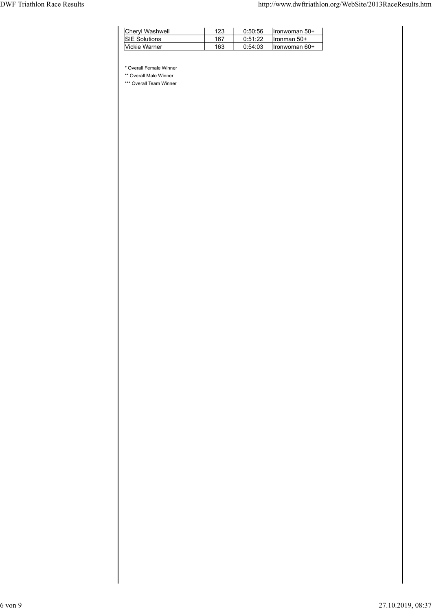| <b>DWF Triathlon Race Results</b> | http://www.dwftriathlon.org/WebSite/2013RaceResults.htm                                                                                                                |  |
|-----------------------------------|------------------------------------------------------------------------------------------------------------------------------------------------------------------------|--|
|                                   |                                                                                                                                                                        |  |
|                                   | <b>Cheryl Washwell</b><br>123<br>0:50:56<br>Ironwoman 50+<br>167<br><b>SIE Solutions</b><br>0:51:22<br>Ironman 50+<br>163<br>Vickie Warner<br>0:54:03<br>Ironwoman 60+ |  |
|                                   | * Overall Female Winner<br>** Overall Male Winner                                                                                                                      |  |
|                                   | *** Overall Team Winner                                                                                                                                                |  |